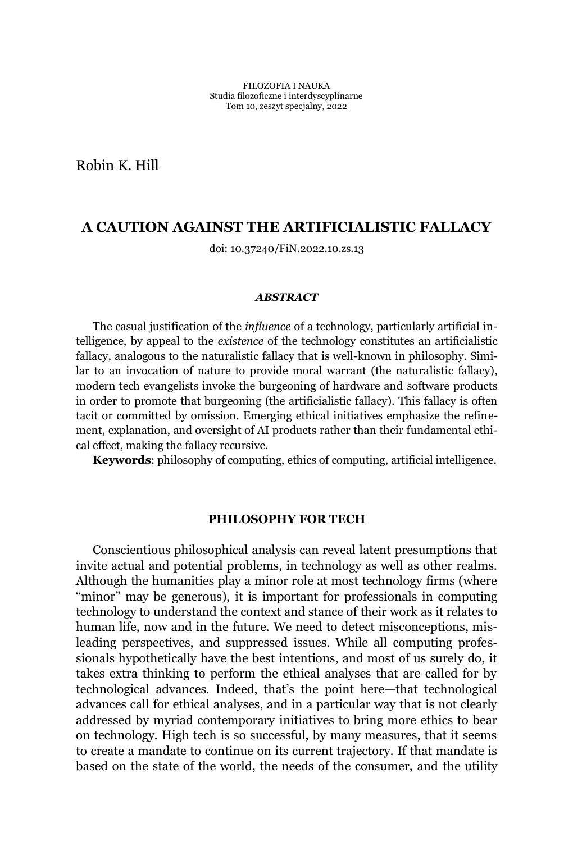Robin K. Hill

# **A CAUTION AGAINST THE ARTIFICIALISTIC FALLACY**

doi: 10.37240/FiN.2022.10.zs.13

### *ABSTRACT*

The casual justification of the *influence* of a technology, particularly artificial intelligence, by appeal to the *existence* of the technology constitutes an artificialistic fallacy, analogous to the naturalistic fallacy that is well-known in philosophy. Similar to an invocation of nature to provide moral warrant (the naturalistic fallacy), modern tech evangelists invoke the burgeoning of hardware and software products in order to promote that burgeoning (the artificialistic fallacy). This fallacy is often tacit or committed by omission. Emerging ethical initiatives emphasize the refinement, explanation, and oversight of AI products rather than their fundamental ethical effect, making the fallacy recursive.

**Keywords**: philosophy of computing, ethics of computing, artificial intelligence.

### **PHILOSOPHY FOR TECH**

Conscientious philosophical analysis can reveal latent presumptions that invite actual and potential problems, in technology as well as other realms. Although the humanities play a minor role at most technology firms (where "minor" may be generous), it is important for professionals in computing technology to understand the context and stance of their work as it relates to human life, now and in the future. We need to detect misconceptions, misleading perspectives, and suppressed issues. While all computing professionals hypothetically have the best intentions, and most of us surely do, it takes extra thinking to perform the ethical analyses that are called for by technological advances. Indeed, that's the point here—that technological advances call for ethical analyses, and in a particular way that is not clearly addressed by myriad contemporary initiatives to bring more ethics to bear on technology. High tech is so successful, by many measures, that it seems to create a mandate to continue on its current trajectory. If that mandate is based on the state of the world, the needs of the consumer, and the utility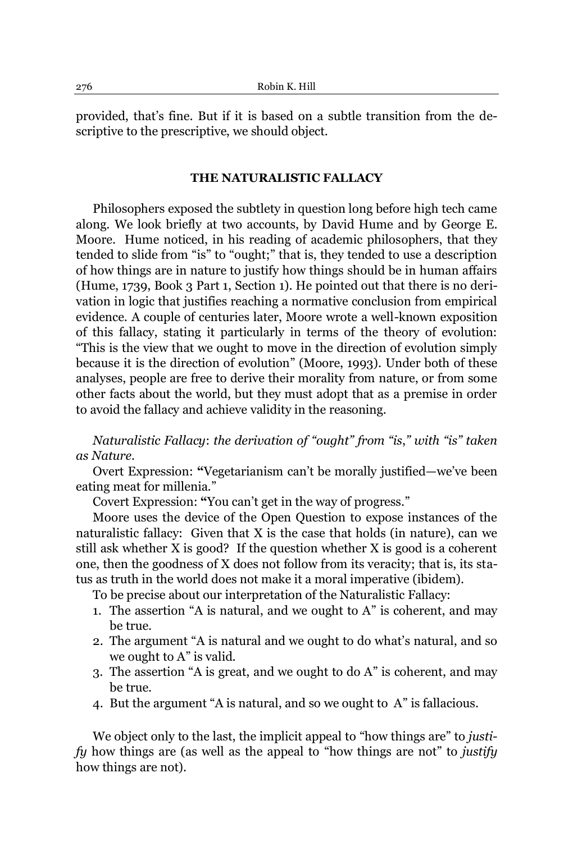provided, that's fine. But if it is based on a subtle transition from the descriptive to the prescriptive, we should object.

## **THE NATURALISTIC FALLACY**

Philosophers exposed the subtlety in question long before high tech came along. We look briefly at two accounts, by David Hume and by George E. Moore. Hume noticed, in his reading of academic philosophers, that they tended to slide from "is" to "ought;" that is, they tended to use a description of how things are in nature to justify how things should be in human affairs (Hume, 1739, Book 3 Part 1, Section 1). He pointed out that there is no derivation in logic that justifies reaching a normative conclusion from empirical evidence. A couple of centuries later, Moore wrote a well-known exposition of this fallacy, stating it particularly in terms of the theory of evolution: ³This is the view that we ought to move in the direction of evolution simply because it is the direction of evolution" (Moore, 1993). Under both of these analyses, people are free to derive their morality from nature, or from some other facts about the world, but they must adopt that as a premise in order to avoid the fallacy and achieve validity in the reasoning.

*Naturalistic Fallacy: the derivation of "ought" from "is," with "is" taken as Nature.*

Overt Expression: "Vegetarianism can't be morally justified—we've been eating meat for millenia."

Covert Expression: "You can't get in the way of progress."

Moore uses the device of the Open Question to expose instances of the naturalistic fallacy: Given that X is the case that holds (in nature), can we still ask whether X is good? If the question whether X is good is a coherent one, then the goodness of X does not follow from its veracity; that is, its status as truth in the world does not make it a moral imperative (ibidem).

To be precise about our interpretation of the Naturalistic Fallacy:

- 1. The assertion  $A$  is natural, and we ought to A $\tilde{A}$  is coherent, and may be true.
- 2. The argument "A is natural and we ought to do what's natural, and so we ought to  $A$ " is valid.
- 3. The assertion "A is great, and we ought to do A" is coherent, and may be true.
- 4. But the argument "A is natural, and so we ought to A" is fallacious.

We object only to the last, the implicit appeal to "how things are" to *justify* how things are (as well as the appeal to "how things are not" to *justify* how things are not).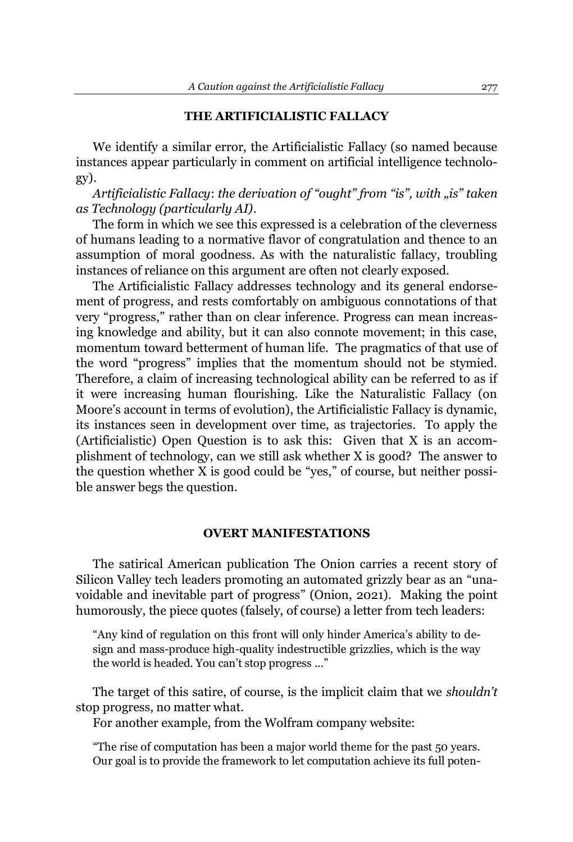## **THE ARTIFICIALISTIC FALLACY**

We identify a similar error, the Artificialistic Fallacy (so named because instances appear particularly in comment on artificial intelligence technology).

*Artificialistic Fallacy: the derivation of "ought" from "is", with*  $\vec{a}$ *' <i>taken as Technology (particularly AI)*.

The form in which we see this expressed is a celebration of the cleverness of humans leading to a normative flavor of congratulation and thence to an assumption of moral goodness. As with the naturalistic fallacy, troubling instances of reliance on this argument are often not clearly exposed.

The Artificialistic Fallacy addresses technology and its general endorsement of progress, and rests comfortably on ambiguous connotations of that very "progress," rather than on clear inference. Progress can mean increasing knowledge and ability, but it can also connote movement; in this case, momentum toward betterment of human life. The pragmatics of that use of the word "progress" implies that the momentum should not be stymied. Therefore, a claim of increasing technological ability can be referred to as if it were increasing human flourishing. Like the Naturalistic Fallacy (on Moore's account in terms of evolution), the Artificialistic Fallacy is dynamic, its instances seen in development over time, as trajectories. To apply the (Artificialistic) Open Question is to ask this: Given that X is an accomplishment of technology, can we still ask whether X is good? The answer to the question whether  $X$  is good could be "yes," of course, but neither possible answer begs the question.

## **OVERT MANIFESTATIONS**

The satirical American publication The Onion carries a recent story of Silicon Valley tech leaders promoting an automated grizzly bear as an "unavoidable and inevitable part of progress´ (Onion, 2021). Making the point humorously, the piece quotes (falsely, of course) a letter from tech leaders:

"Any kind of regulation on this front will only hinder America's ability to design and mass-produce high-quality indestructible grizzlies, which is the way the world is headed. You can't stop progress ..."

The target of this satire, of course, is the implicit claim that we *shouldn't* stop progress, no matter what.

For another example, from the Wolfram company website:

³The rise of computation has been a major world theme for the past 50 years. Our goal is to provide the framework to let computation achieve its full poten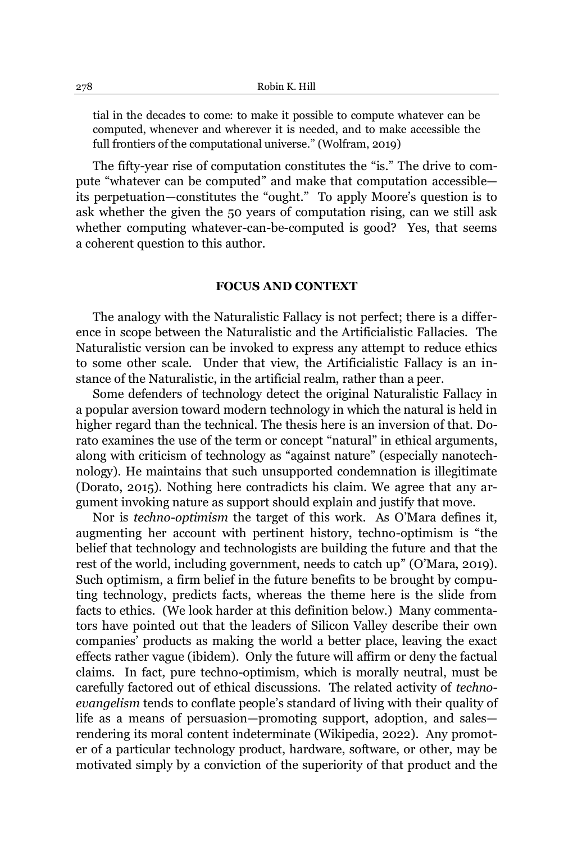tial in the decades to come: to make it possible to compute whatever can be computed, whenever and wherever it is needed, and to make accessible the full frontiers of the computational universe." (Wolfram, 2019)

The fifty-year rise of computation constitutes the "is." The drive to compute "whatever can be computed" and make that computation accessibleits perpetuation—constitutes the "ought." To apply Moore's question is to ask whether the given the 50 years of computation rising, can we still ask whether computing whatever-can-be-computed is good? Yes, that seems a coherent question to this author.

## **FOCUS AND CONTEXT**

The analogy with the Naturalistic Fallacy is not perfect; there is a difference in scope between the Naturalistic and the Artificialistic Fallacies. The Naturalistic version can be invoked to express any attempt to reduce ethics to some other scale. Under that view, the Artificialistic Fallacy is an instance of the Naturalistic, in the artificial realm, rather than a peer.

Some defenders of technology detect the original Naturalistic Fallacy in a popular aversion toward modern technology in which the natural is held in higher regard than the technical. The thesis here is an inversion of that. Dorato examines the use of the term or concept "natural" in ethical arguments, along with criticism of technology as "against nature" (especially nanotechnology). He maintains that such unsupported condemnation is illegitimate (Dorato, 2015). Nothing here contradicts his claim. We agree that any argument invoking nature as support should explain and justify that move.

Nor is *techno-optimism* the target of this work. As O'Mara defines it, augmenting her account with pertinent history, techno-optimism is "the belief that technology and technologists are building the future and that the rest of the world, including government, needs to catch up" (O'Mara, 2019). Such optimism, a firm belief in the future benefits to be brought by computing technology, predicts facts, whereas the theme here is the slide from facts to ethics. (We look harder at this definition below.) Many commentators have pointed out that the leaders of Silicon Valley describe their own companies' products as making the world a better place, leaving the exact effects rather vague (ibidem). Only the future will affirm or deny the factual claims. In fact, pure techno-optimism, which is morally neutral, must be carefully factored out of ethical discussions. The related activity of *technoevangelism* tends to conflate people's standard of living with their quality of life as a means of persuasion—promoting support, adoption, and sales rendering its moral content indeterminate (Wikipedia, 2022). Any promoter of a particular technology product, hardware, software, or other, may be motivated simply by a conviction of the superiority of that product and the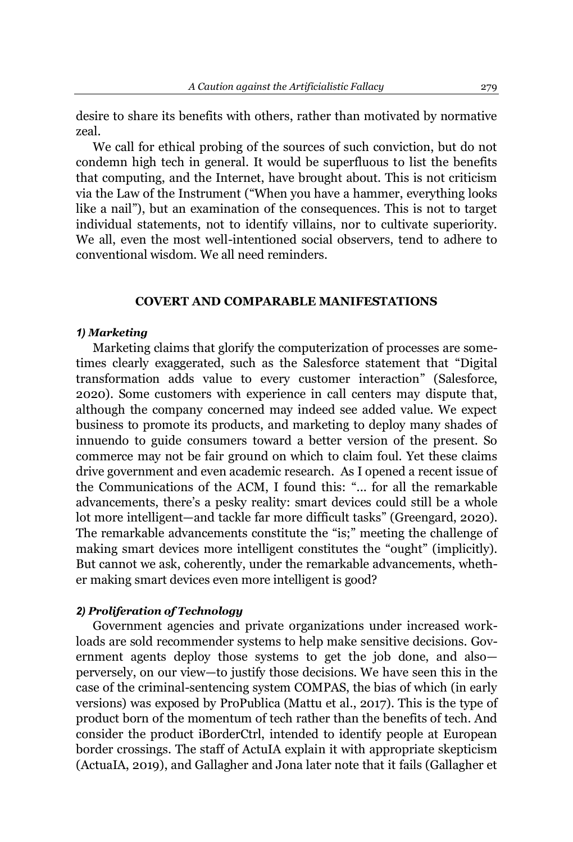desire to share its benefits with others, rather than motivated by normative zeal.

We call for ethical probing of the sources of such conviction, but do not condemn high tech in general. It would be superfluous to list the benefits that computing, and the Internet, have brought about. This is not criticism via the Law of the Instrument ("When you have a hammer, everything looks like a nail"), but an examination of the consequences. This is not to target individual statements, not to identify villains, nor to cultivate superiority. We all, even the most well-intentioned social observers, tend to adhere to conventional wisdom. We all need reminders.

## **COVERT AND COMPARABLE MANIFESTATIONS**

### *1) Marketing*

Marketing claims that glorify the computerization of processes are sometimes clearly exaggerated, such as the Salesforce statement that "Digital transformation adds value to every customer interaction´ (Salesforce, 2020). Some customers with experience in call centers may dispute that, although the company concerned may indeed see added value. We expect business to promote its products, and marketing to deploy many shades of innuendo to guide consumers toward a better version of the present. So commerce may not be fair ground on which to claim foul. Yet these claims drive government and even academic research. As I opened a recent issue of the Communications of the ACM, I found this: "... for all the remarkable advancements, there's a pesky reality: smart devices could still be a whole lot more intelligent—and tackle far more difficult tasks" (Greengard, 2020). The remarkable advancements constitute the "is;" meeting the challenge of making smart devices more intelligent constitutes the "ought" (implicitly). But cannot we ask, coherently, under the remarkable advancements, whether making smart devices even more intelligent is good?

## *2) Proliferation of Technology*

Government agencies and private organizations under increased workloads are sold recommender systems to help make sensitive decisions. Government agents deploy those systems to get the job done, and alsoperversely, on our view-to justify those decisions. We have seen this in the case of the criminal-sentencing system COMPAS, the bias of which (in early versions) was exposed by ProPublica (Mattu et al., 2017). This is the type of product born of the momentum of tech rather than the benefits of tech. And consider the product iBorderCtrl, intended to identify people at European border crossings. The staff of ActuIA explain it with appropriate skepticism (ActuaIA, 2019), and Gallagher and Jona later note that it fails (Gallagher et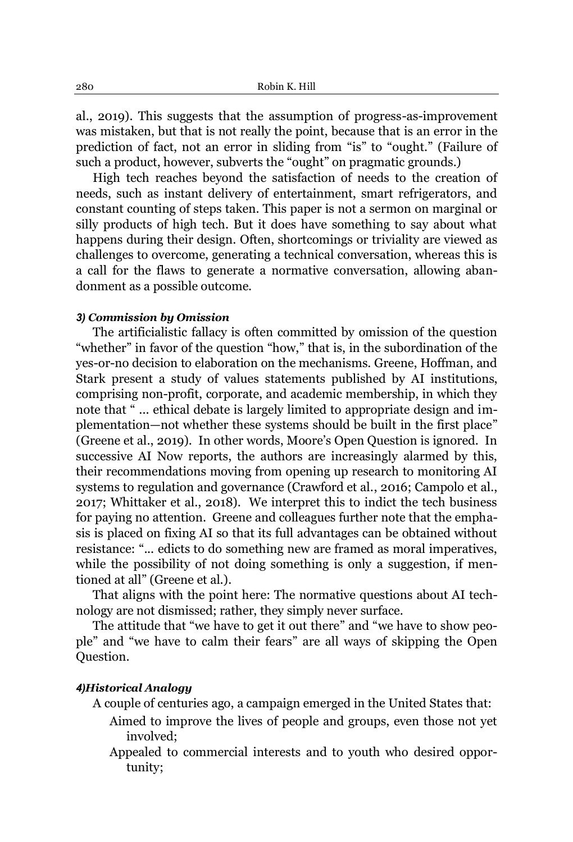al., 2019). This suggests that the assumption of progress-as-improvement was mistaken, but that is not really the point, because that is an error in the prediction of fact, not an error in sliding from "is" to "ought." (Failure of such a product, however, subverts the "ought" on pragmatic grounds.)

High tech reaches beyond the satisfaction of needs to the creation of needs, such as instant delivery of entertainment, smart refrigerators, and constant counting of steps taken. This paper is not a sermon on marginal or silly products of high tech. But it does have something to say about what happens during their design. Often, shortcomings or triviality are viewed as challenges to overcome, generating a technical conversation, whereas this is a call for the flaws to generate a normative conversation, allowing abandonment as a possible outcome.

### *3) Commission by Omission*

The artificialistic fallacy is often committed by omission of the question "whether" in favor of the question "how," that is, in the subordination of the yes-or-no decision to elaboration on the mechanisms. Greene, Hoffman, and Stark present a study of values statements published by AI institutions, comprising non-profit, corporate, and academic membership, in which they note that "... ethical debate is largely limited to appropriate design and implementation—not whether these systems should be built in the first place" (Greene et al., 2019). In other words, Moore's Open Question is ignored. In successive AI Now reports, the authors are increasingly alarmed by this, their recommendations moving from opening up research to monitoring AI systems to regulation and governance (Crawford et al., 2016; Campolo et al., 2017; Whittaker et al., 2018). We interpret this to indict the tech business for paying no attention. Greene and colleagues further note that the emphasis is placed on fixing AI so that its full advantages can be obtained without resistance: "... edicts to do something new are framed as moral imperatives, while the possibility of not doing something is only a suggestion, if mentioned at all" (Greene et al.).

That aligns with the point here: The normative questions about AI technology are not dismissed; rather, they simply never surface.

The attitude that "we have to get it out there" and "we have to show people" and "we have to calm their fears" are all ways of skipping the Open Question.

### *4)Historical Analogy*

A couple of centuries ago, a campaign emerged in the United States that:

- Aimed to improve the lives of people and groups, even those not yet involved;
- Appealed to commercial interests and to youth who desired opportunity;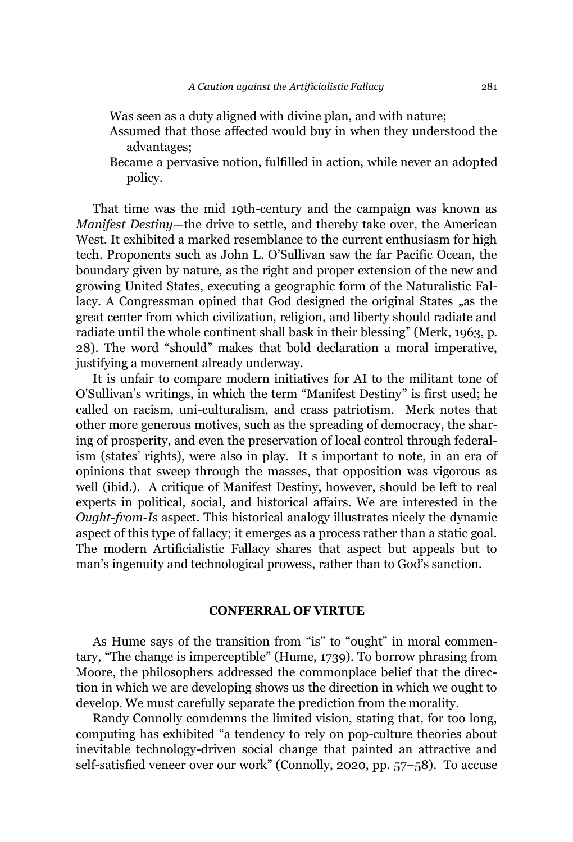- Was seen as a duty aligned with divine plan, and with nature;
- Assumed that those affected would buy in when they understood the advantages;
- Became a pervasive notion, fulfilled in action, while never an adopted policy.

That time was the mid 19th-century and the campaign was known as *Manifest Destiny*—the drive to settle, and thereby take over, the American West. It exhibited a marked resemblance to the current enthusiasm for high tech. Proponents such as John L. O'Sullivan saw the far Pacific Ocean, the boundary given by nature, as the right and proper extension of the new and growing United States, executing a geographic form of the Naturalistic Fallacy. A Congressman opined that God designed the original States "as the great center from which civilization, religion, and liberty should radiate and radiate until the whole continent shall bask in their blessing" (Merk, 1963, p. 28). The word "should" makes that bold declaration a moral imperative, justifying a movement already underway.

It is unfair to compare modern initiatives for AI to the militant tone of O'Sullivan's writings, in which the term "Manifest Destiny" is first used; he called on racism, uni-culturalism, and crass patriotism. Merk notes that other more generous motives, such as the spreading of democracy, the sharing of prosperity, and even the preservation of local control through federalism (states' rights), were also in play. It s important to note, in an era of opinions that sweep through the masses, that opposition was vigorous as well (ibid.). A critique of Manifest Destiny, however, should be left to real experts in political, social, and historical affairs. We are interested in the *Ought-from-Is* aspect. This historical analogy illustrates nicely the dynamic aspect of this type of fallacy; it emerges as a process rather than a static goal. The modern Artificialistic Fallacy shares that aspect but appeals but to man's ingenuity and technological prowess, rather than to God's sanction.

### **CONFERRAL OF VIRTUE**

As Hume says of the transition from "is" to "ought" in moral commentary, "The change is imperceptible" (Hume, 1739). To borrow phrasing from Moore, the philosophers addressed the commonplace belief that the direction in which we are developing shows us the direction in which we ought to develop. We must carefully separate the prediction from the morality.

Randy Connolly comdemns the limited vision, stating that, for too long, computing has exhibited "a tendency to rely on pop-culture theories about inevitable technology-driven social change that painted an attractive and self-satisfied veneer over our work" (Connolly, 2020, pp.  $57-58$ ). To accuse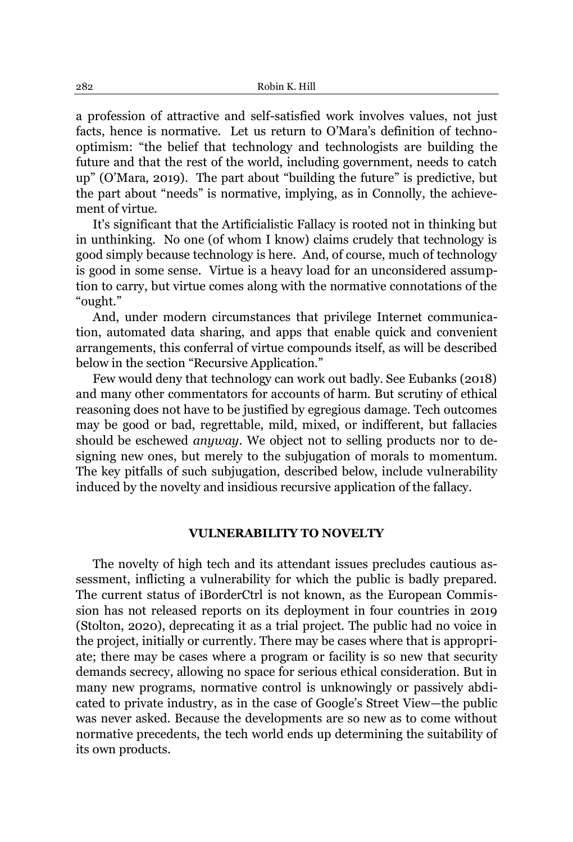a profession of attractive and self-satisfied work involves values, not just facts, hence is normative. Let us return to O'Mara's definition of technooptimism: ³the belief that technology and technologists are building the future and that the rest of the world, including government, needs to catch up" (O'Mara, 2019). The part about "building the future" is predictive, but the part about "needs" is normative, implying, as in Connolly, the achievement of virtue.

It's significant that the Artificialistic Fallacy is rooted not in thinking but in unthinking. No one (of whom I know) claims crudely that technology is good simply because technology is here. And, of course, much of technology is good in some sense. Virtue is a heavy load for an unconsidered assumption to carry, but virtue comes along with the normative connotations of the ³ought.´

And, under modern circumstances that privilege Internet communication, automated data sharing, and apps that enable quick and convenient arrangements, this conferral of virtue compounds itself, as will be described below in the section "Recursive Application."

Few would deny that technology can work out badly. See Eubanks (2018) and many other commentators for accounts of harm. But scrutiny of ethical reasoning does not have to be justified by egregious damage. Tech outcomes may be good or bad, regrettable, mild, mixed, or indifferent, but fallacies should be eschewed *anyway*. We object not to selling products nor to designing new ones, but merely to the subjugation of morals to momentum. The key pitfalls of such subjugation, described below, include vulnerability induced by the novelty and insidious recursive application of the fallacy.

## **VULNERABILITY TO NOVELTY**

The novelty of high tech and its attendant issues precludes cautious assessment, inflicting a vulnerability for which the public is badly prepared. The current status of iBorderCtrl is not known, as the European Commission has not released reports on its deployment in four countries in 2019 (Stolton, 2020), deprecating it as a trial project. The public had no voice in the project, initially or currently. There may be cases where that is appropriate; there may be cases where a program or facility is so new that security demands secrecy, allowing no space for serious ethical consideration. But in many new programs, normative control is unknowingly or passively abdicated to private industry, as in the case of Google's Street View-the public was never asked. Because the developments are so new as to come without normative precedents, the tech world ends up determining the suitability of its own products.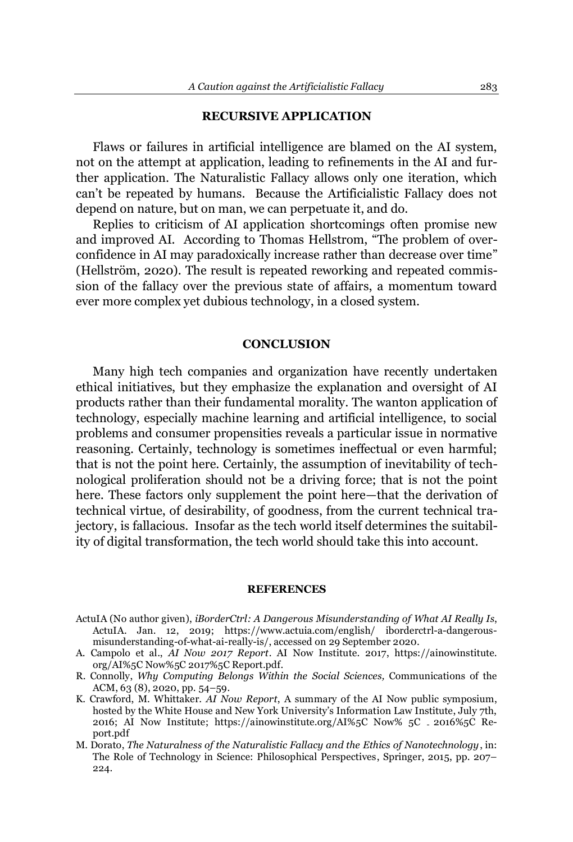### **RECURSIVE APPLICATION**

Flaws or failures in artificial intelligence are blamed on the AI system, not on the attempt at application, leading to refinements in the AI and further application. The Naturalistic Fallacy allows only one iteration, which can't be repeated by humans. Because the Artificialistic Fallacy does not depend on nature, but on man, we can perpetuate it, and do.

Replies to criticism of AI application shortcomings often promise new and improved AI. According to Thomas Hellstrom, "The problem of overconfidence in AI may paradoxically increase rather than decrease over time´ (Hellström, 2020). The result is repeated reworking and repeated commission of the fallacy over the previous state of affairs, a momentum toward ever more complex yet dubious technology, in a closed system.

## **CONCLUSION**

Many high tech companies and organization have recently undertaken ethical initiatives, but they emphasize the explanation and oversight of AI products rather than their fundamental morality. The wanton application of technology, especially machine learning and artificial intelligence, to social problems and consumer propensities reveals a particular issue in normative reasoning. Certainly, technology is sometimes ineffectual or even harmful; that is not the point here. Certainly, the assumption of inevitability of technological proliferation should not be a driving force; that is not the point here. These factors only supplement the point here—that the derivation of technical virtue, of desirability, of goodness, from the current technical trajectory, is fallacious. Insofar as the tech world itself determines the suitability of digital transformation, the tech world should take this into account.

#### **REFERENCES**

- ActuIA (No author given), *iBorderCtrl: A Dangerous Misunderstanding of What AI Really Is*, ActuIA. Jan. 12, 2019; https://www.actuia.com/english/ iborderctrl-a-dangerousmisunderstanding-of-what-ai-really-is/, accessed on 29 September 2020.
- A. Campolo et al., *AI Now 2017 Report*. AI Now Institute. 2017, https://ainowinstitute. org/AI%5C Now%5C 2017%5C Report.pdf.
- R. Connolly, *Why Computing Belongs Within the Social Sciences,* Communications of the ACM, 63 (8), 2020, pp. 54-59.
- K. Crawford, M. Whittaker. *AI Now Report*, A summary of the AI Now public symposium, hosted by the White House and New York University's Information Law Institute, July 7th, 2016; AI Now Institute; https://ainowinstitute.org/AI%5C Now% 5C 2016%5C Report.pdf
- M. Dorato, *The Naturalness of the Naturalistic Fallacy and the Ethics of Nanotechnology*, in: The Role of Technology in Science: Philosophical Perspectives, Springer, 2015, pp. 207– 224.